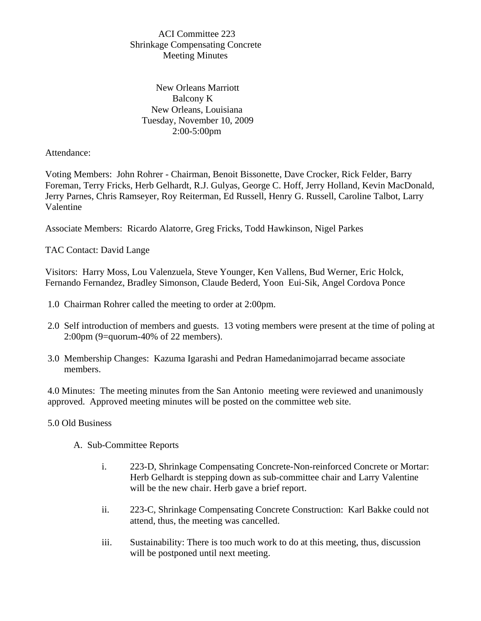## ACI Committee 223 Shrinkage Compensating Concrete Meeting Minutes

 New Orleans Marriott Balcony K New Orleans, Louisiana Tuesday, November 10, 2009 2:00-5:00pm

## Attendance:

Voting Members: John Rohrer - Chairman, Benoit Bissonette, Dave Crocker, Rick Felder, Barry Foreman, Terry Fricks, Herb Gelhardt, R.J. Gulyas, George C. Hoff, Jerry Holland, Kevin MacDonald, Jerry Parnes, Chris Ramseyer, Roy Reiterman, Ed Russell, Henry G. Russell, Caroline Talbot, Larry Valentine

Associate Members: Ricardo Alatorre, Greg Fricks, Todd Hawkinson, Nigel Parkes

TAC Contact: David Lange

Visitors: Harry Moss, Lou Valenzuela, Steve Younger, Ken Vallens, Bud Werner, Eric Holck, Fernando Fernandez, Bradley Simonson, Claude Bederd, Yoon Eui-Sik, Angel Cordova Ponce

- 1.0 Chairman Rohrer called the meeting to order at 2:00pm.
- 2.0 Self introduction of members and guests. 13 voting members were present at the time of poling at 2:00pm (9=quorum-40% of 22 members).
- 3.0 Membership Changes: Kazuma Igarashi and Pedran Hamedanimojarrad became associate members.

4.0 Minutes: The meeting minutes from the San Antonio meeting were reviewed and unanimously approved. Approved meeting minutes will be posted on the committee web site.

## 5.0 Old Business

A. Sub-Committee Reports

- i. 223-D, Shrinkage Compensating Concrete-Non-reinforced Concrete or Mortar: Herb Gelhardt is stepping down as sub-committee chair and Larry Valentine will be the new chair. Herb gave a brief report.
- ii. 223-C, Shrinkage Compensating Concrete Construction: Karl Bakke could not attend, thus, the meeting was cancelled.
- iii. Sustainability: There is too much work to do at this meeting, thus, discussion will be postponed until next meeting.